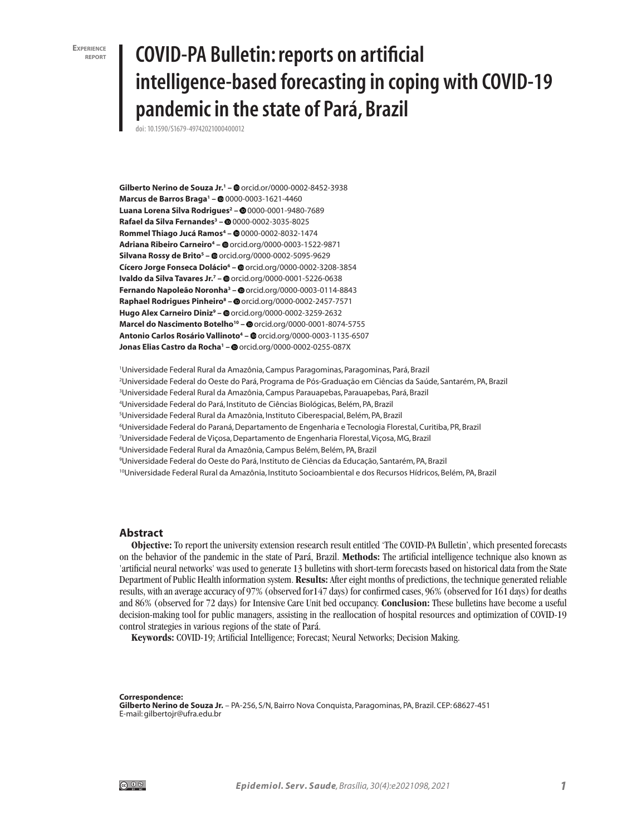**EXPERIENCE report**

# **COVID-PA Bulletin: reports on artificial intelligence-based forecasting in coping with COVID-19 pandemic in the state of Pará, Brazil**

doi: 10.1590/S1679-49742021000400012

**Gilberto Nerino de Souza Jr.1 –** orcid.or/0000-0002-8452-3938 **Marcus de Barros Braga1 –** 0000-0003-1621-4460 **Luana Lorena Silva Rodrigues2 –** 0000-0001-9480-7689 **Rafael da Silva Fernandes3 –** 0000-0002-3035-8025 **Rommel Thiago Jucá Ramos4 –** 0000-0002-8032-1474 **Adriana Ribeiro Carneiro4 –** orcid.org/0000-0003-1522-9871 **Silvana Rossy de Brito5 –** orcid.org/0000-0002-5095-9629 **Cícero Jorge Fonseca Dolácio6 –** orcid.org/0000-0002-3208-3854 **Ivaldo da Silva Tavares Jr.<sup>7</sup> - @** orcid.org/0000-0001-5226-0638 **Fernando Napoleão Noronha3 –** orcid.org/0000-0003-0114-8843 **Raphael Rodrigues Pinheiro8 –** orcid.org/0000-0002-2457-7571 **Hugo Alex Carneiro Diniz9 –** orcid.org/0000-0002-3259-2632 Marcel do Nascimento Botelho<sup>10</sup> - @ orcid.org/0000-0001-8074-5755 **Antonio Carlos Rosário Vallinoto4 –** orcid.org/0000-0003-1135-6507 **Jonas Elias Castro da Rocha<sup>1</sup> – ©** orcid.org/0000-0002-0255-087X

1 Universidade Federal Rural da Amazônia, Campus Paragominas, Paragominas, Pará, Brazil

2 Universidade Federal do Oeste do Pará, Programa de Pós-Graduação em Ciências da Saúde, Santarém, PA, Brazil

3 Universidade Federal Rural da Amazônia, Campus Parauapebas, Parauapebas, Pará, Brazil

4 Universidade Federal do Pará, Instituto de Ciências Biológicas, Belém, PA, Brazil

5 Universidade Federal Rural da Amazônia, Instituto Ciberespacial, Belém, PA, Brazil

6 Universidade Federal do Paraná, Departamento de Engenharia e Tecnologia Florestal, Curitiba, PR, Brazil

7 Universidade Federal de Viçosa, Departamento de Engenharia Florestal, Viçosa, MG, Brazil

8 Universidade Federal Rural da Amazônia, Campus Belém, Belém, PA, Brazil

9 Universidade Federal do Oeste do Pará, Instituto de Ciências da Educação, Santarém, PA, Brazil

10Universidade Federal Rural da Amazônia, Instituto Socioambiental e dos Recursos Hídricos, Belém, PA, Brazil

#### **Abstract**

**Objective:** To report the university extension research result entitled 'The COVID-PA Bulletin', which presented forecasts on the behavior of the pandemic in the state of Pará, Brazil. **Methods:** The artificial intelligence technique also known as 'artificial neural networks' was used to generate 13 bulletins with short-term forecasts based on historical data from the State Department of Public Health information system. **Results:** After eight months of predictions, the technique generated reliable results, with an average accuracy of 97% (observed for147 days) for confirmed cases, 96% (observed for 161 days) for deaths and 86% (observed for 72 days) for Intensive Care Unit bed occupancy. **Conclusion:** These bulletins have become a useful decision-making tool for public managers, assisting in the reallocation of hospital resources and optimization of COVID-19 control strategies in various regions of the state of Pará.

**Keywords:** COVID-19; Artificial Intelligence; Forecast; Neural Networks; Decision Making.

**Correspondence: Gilberto Nerino de Souza Jr.** – PA-256, S/N, Bairro Nova Conquista, Paragominas, PA, Brazil. CEP: 68627-451 E-mail: gilbertojr@ufra.edu.br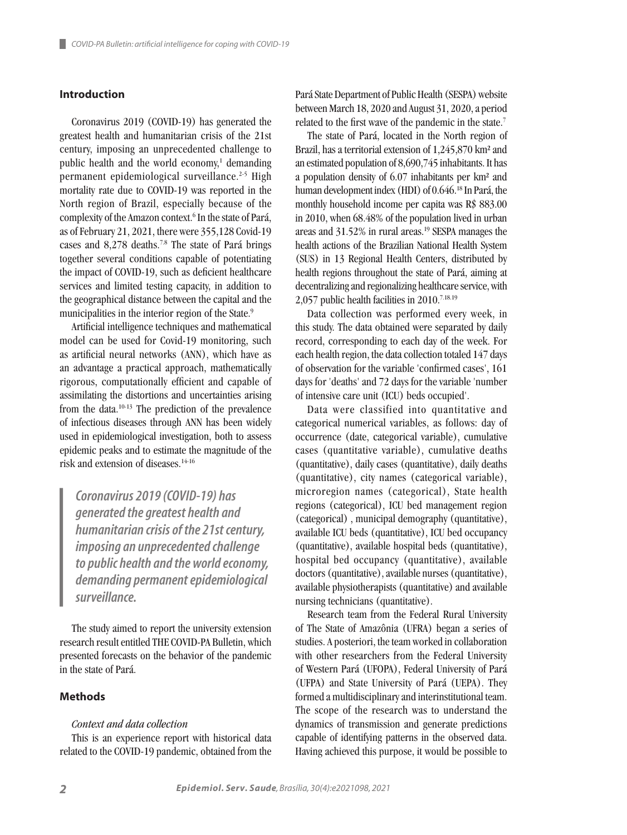# **Introduction**

Coronavirus 2019 (COVID-19) has generated the greatest health and humanitarian crisis of the 21st century, imposing an unprecedented challenge to public health and the world economy,<sup>1</sup> demanding permanent epidemiological surveillance.<sup>2-5</sup> High mortality rate due to COVID-19 was reported in the North region of Brazil, especially because of the complexity of the Amazon context.<sup>6</sup> In the state of Pará, as of February 21, 2021, there were 355,128 Covid-19 cases and 8,278 deaths.7.8 The state of Pará brings together several conditions capable of potentiating the impact of COVID-19, such as deficient healthcare services and limited testing capacity, in addition to the geographical distance between the capital and the municipalities in the interior region of the State.<sup>9</sup>

Artificial intelligence techniques and mathematical model can be used for Covid-19 monitoring, such as artificial neural networks (ANN), which have as an advantage a practical approach, mathematically rigorous, computationally efficient and capable of assimilating the distortions and uncertainties arising from the data.10-13 The prediction of the prevalence of infectious diseases through ANN has been widely used in epidemiological investigation, both to assess epidemic peaks and to estimate the magnitude of the risk and extension of diseases.14-16

*Coronavirus 2019 (COVID-19) has generated the greatest health and humanitarian crisis of the 21st century, imposing an unprecedented challenge to public health and the world economy, demanding permanent epidemiological surveillance.*

The study aimed to report the university extension research result entitled THE COVID-PA Bulletin, which presented forecasts on the behavior of the pandemic in the state of Pará.

#### **Methods**

#### *Context and data collection*

This is an experience report with historical data related to the COVID-19 pandemic, obtained from the Pará State Department of Public Health (SESPA) website between March 18, 2020 and August 31, 2020, a period related to the first wave of the pandemic in the state.<sup>7</sup>

The state of Pará, located in the North region of Brazil, has a territorial extension of 1,245,870 km² and an estimated population of 8,690,745 inhabitants. It has a population density of 6.07 inhabitants per km² and human development index (HDI) of 0.646.18 In Pará, the monthly household income per capita was R\$ 883.00 in 2010, when 68.48% of the population lived in urban areas and 31.52% in rural areas.19 SESPA manages the health actions of the Brazilian National Health System (SUS) in 13 Regional Health Centers, distributed by health regions throughout the state of Pará, aiming at decentralizing and regionalizing healthcare service, with 2,057 public health facilities in 2010.<sup>7.18.19</sup>

Data collection was performed every week, in this study. The data obtained were separated by daily record, corresponding to each day of the week. For each health region, the data collection totaled 147 days of observation for the variable 'confirmed cases', 161 days for 'deaths' and 72 days for the variable 'number of intensive care unit (ICU) beds occupied'.

Data were classified into quantitative and categorical numerical variables, as follows: day of occurrence (date, categorical variable), cumulative cases (quantitative variable), cumulative deaths (quantitative), daily cases (quantitative), daily deaths (quantitative), city names (categorical variable), microregion names (categorical), State health regions (categorical), ICU bed management region (categorical) , municipal demography (quantitative), available ICU beds (quantitative), ICU bed occupancy (quantitative), available hospital beds (quantitative), hospital bed occupancy (quantitative), available doctors (quantitative), available nurses (quantitative), available physiotherapists (quantitative) and available nursing technicians (quantitative).

Research team from the Federal Rural University of The State of Amazônia (UFRA) began a series of studies. A posteriori, the team worked in collaboration with other researchers from the Federal University of Western Pará (UFOPA), Federal University of Pará (UFPA) and State University of Pará (UEPA). They formed a multidisciplinary and interinstitutional team. The scope of the research was to understand the dynamics of transmission and generate predictions capable of identifying patterns in the observed data. Having achieved this purpose, it would be possible to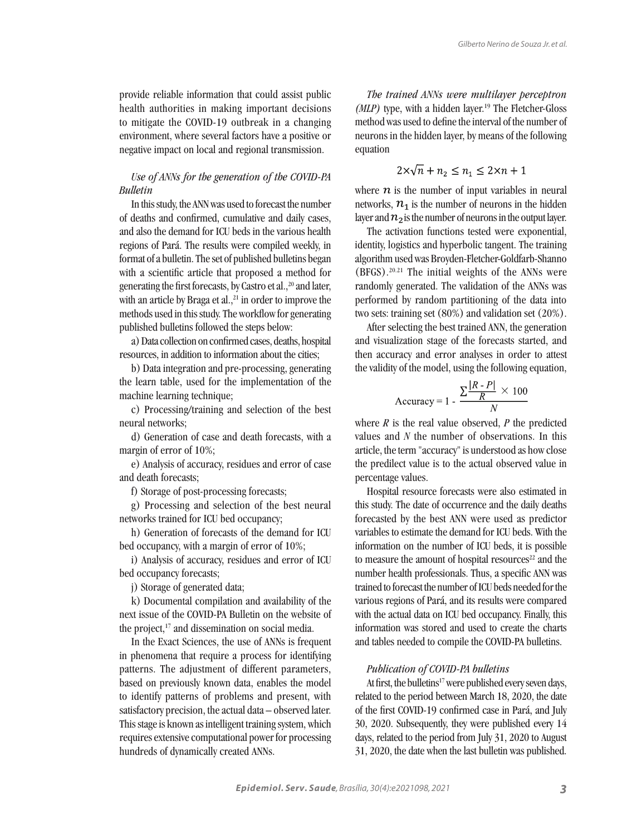provide reliable information that could assist public health authorities in making important decisions to mitigate the COVID-19 outbreak in a changing environment, where several factors have a positive or negative impact on local and regional transmission.

# *Use of ANNs for the generation of the COVID-PA Bulletin*

In this study, the ANN was used to forecast the number of deaths and confirmed, cumulative and daily cases, and also the demand for ICU beds in the various health regions of Pará. The results were compiled weekly, in format of a bulletin. The set of published bulletins began with a scientific article that proposed a method for generating the first forecasts, by Castro et al.,<sup>20</sup> and later, with an article by Braga et al., $^{21}$  in order to improve the methods used in this study. The workflow for generating published bulletins followed the steps below:

a) Data collection on confirmed cases, deaths, hospital resources, in addition to information about the cities;

b) Data integration and pre-processing, generating the learn table, used for the implementation of the machine learning technique;

c) Processing/training and selection of the best neural networks;

d) Generation of case and death forecasts, with a margin of error of 10%;

e) Analysis of accuracy, residues and error of case and death forecasts;

f) Storage of post-processing forecasts;

g) Processing and selection of the best neural networks trained for ICU bed occupancy;

h) Generation of forecasts of the demand for ICU bed occupancy, with a margin of error of 10%;

i) Analysis of accuracy, residues and error of ICU bed occupancy forecasts;

j) Storage of generated data;

k) Documental compilation and availability of the next issue of the COVID-PA Bulletin on the website of the project, $17$  and dissemination on social media.

In the Exact Sciences, the use of ANNs is frequent in phenomena that require a process for identifying patterns. The adjustment of different parameters, based on previously known data, enables the model to identify patterns of problems and present, with satisfactory precision, the actual data – observed later. This stage is known as intelligent training system, which requires extensive computational power for processing hundreds of dynamically created ANNs.

*The trained ANNs were multilayer perceptron (MLP)* type, with a hidden layer.<sup>19</sup> The Fletcher-Gloss method was used to define the interval of the number of neurons in the hidden layer, by means of the following equation

$$
2 \times \sqrt{n} + n_2 \le n_1 \le 2 \times n + 1
$$

where  $n$  is the number of input variables in neural networks,  $n_1$  is the number of neurons in the hidden layer and  $n_2$  is the number of neurons in the output layer.

The activation functions tested were exponential, identity, logistics and hyperbolic tangent. The training algorithm used was Broyden-Fletcher-Goldfarb-Shanno (BFGS).20.21 The initial weights of the ANNs were randomly generated. The validation of the ANNs was performed by random partitioning of the data into two sets: training set (80%) and validation set (20%).

After selecting the best trained ANN, the generation and visualization stage of the forecasts started, and then accuracy and error analyses in order to attest the validity of the model, using the following equation,

$$
Accuracy = 1 - \frac{\sum \frac{|R - P|}{R} \times 100}{N}
$$

where  $R$  is the real value observed,  $P$  the predicted values and *N* the number of observations. In this article, the term "accuracy" is understood as how close the predilect value is to the actual observed value in percentage values.

Hospital resource forecasts were also estimated in this study. The date of occurrence and the daily deaths forecasted by the best ANN were used as predictor variables to estimate the demand for ICU beds. With the information on the number of ICU beds, it is possible to measure the amount of hospital resources<sup>22</sup> and the number health professionals. Thus, a specific ANN was trained to forecast the number of ICU beds needed for the various regions of Pará, and its results were compared with the actual data on ICU bed occupancy. Finally, this information was stored and used to create the charts and tables needed to compile the COVID-PA bulletins.

#### *Publication of COVID-PA bulletins*

At first, the bulletins<sup>17</sup> were published every seven days, related to the period between March 18, 2020, the date of the first COVID-19 confirmed case in Pará, and July 30, 2020. Subsequently, they were published every 14 days, related to the period from July 31, 2020 to August 31, 2020, the date when the last bulletin was published.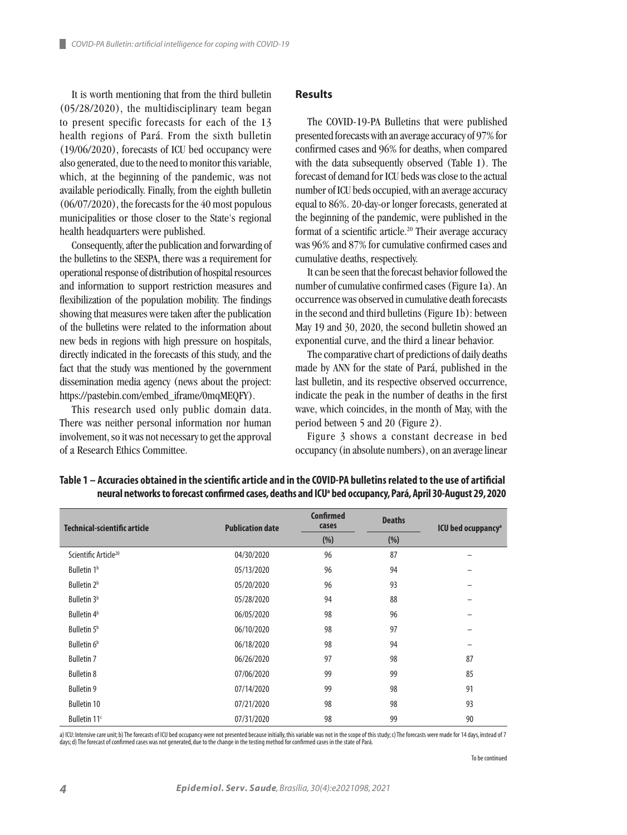It is worth mentioning that from the third bulletin (05/28/2020), the multidisciplinary team began to present specific forecasts for each of the 13 health regions of Pará. From the sixth bulletin (19/06/2020), forecasts of ICU bed occupancy were also generated, due to the need to monitor this variable, which, at the beginning of the pandemic, was not available periodically. Finally, from the eighth bulletin (06/07/2020), the forecasts for the 40 most populous municipalities or those closer to the State's regional health headquarters were published.

Consequently, after the publication and forwarding of the bulletins to the SESPA, there was a requirement for operational response of distribution of hospital resources and information to support restriction measures and flexibilization of the population mobility. The findings showing that measures were taken after the publication of the bulletins were related to the information about new beds in regions with high pressure on hospitals, directly indicated in the forecasts of this study, and the fact that the study was mentioned by the government dissemination media agency (news about the project: https://pastebin.com/embed\_iframe/0mqMEQFY).

This research used only public domain data. There was neither personal information nor human involvement, so it was not necessary to get the approval of a Research Ethics Committee.

#### **Results**

The COVID-19-PA Bulletins that were published presented forecasts with an average accuracy of 97% for confirmed cases and 96% for deaths, when compared with the data subsequently observed (Table 1). The forecast of demand for ICU beds was close to the actual number of ICU beds occupied, with an average accuracy equal to 86%. 20-day-or longer forecasts, generated at the beginning of the pandemic, were published in the format of a scientific article.<sup>20</sup> Their average accuracy was 96% and 87% for cumulative confirmed cases and cumulative deaths, respectively.

It can be seen that the forecast behavior followed the number of cumulative confirmed cases (Figure 1a). An occurrence was observed in cumulative death forecasts in the second and third bulletins (Figure 1b): between May 19 and 30, 2020, the second bulletin showed an exponential curve, and the third a linear behavior.

The comparative chart of predictions of daily deaths made by ANN for the state of Pará, published in the last bulletin, and its respective observed occurrence, indicate the peak in the number of deaths in the first wave, which coincides, in the month of May, with the period between 5 and 20 (Figure 2).

Figure 3 shows a constant decrease in bed occupancy (in absolute numbers), on an average linear

| Technical-scientific article     | <b>Publication date</b> | <b>Confirmed</b><br>cases | <b>Deaths</b> | <b>ICU</b> bed ocuppancy <sup>a</sup> |
|----------------------------------|-------------------------|---------------------------|---------------|---------------------------------------|
|                                  |                         | (% )                      | (% )          |                                       |
| Scientific Article <sup>20</sup> | 04/30/2020              | 96                        | 87            |                                       |
| Bulletin 1 <sup>b</sup>          | 05/13/2020              | 96                        | 94            |                                       |
| Bulletin 2 <sup>b</sup>          | 05/20/2020              | 96                        | 93            | -                                     |
| Bulletin 3 <sup>b</sup>          | 05/28/2020              | 94                        | 88            |                                       |
| Bulletin 4 <sup>b</sup>          | 06/05/2020              | 98                        | 96            |                                       |
| Bulletin 5 <sup>b</sup>          | 06/10/2020              | 98                        | 97            |                                       |
| Bulletin 6 <sup>b</sup>          | 06/18/2020              | 98                        | 94            |                                       |
| <b>Bulletin 7</b>                | 06/26/2020              | 97                        | 98            | 87                                    |
| <b>Bulletin 8</b>                | 07/06/2020              | 99                        | 99            | 85                                    |
| <b>Bulletin 9</b>                | 07/14/2020              | 99                        | 98            | 91                                    |
| <b>Bulletin 10</b>               | 07/21/2020              | 98                        | 98            | 93                                    |
| Bulletin 11 <sup>c</sup>         | 07/31/2020              | 98                        | 99            | 90                                    |

**Table 1 – Accuracies obtained in the scientific article and in the COVID-PA bulletins related to the use of artificial neural networks to forecast confirmed cases, deaths and ICUa bed occupancy, Pará, April 30-August 29, 2020**

a) ICU: Intensive care unit; b) The forecasts of ICU bed occupancy were not presented because initially, this variable was not in the scope of this study; c) The forecasts were made for 14 days, instead of 7 days; d) The forecast of confirmed cases was not generated, due to the change in the testing method for confirmed cases in the state of Pará.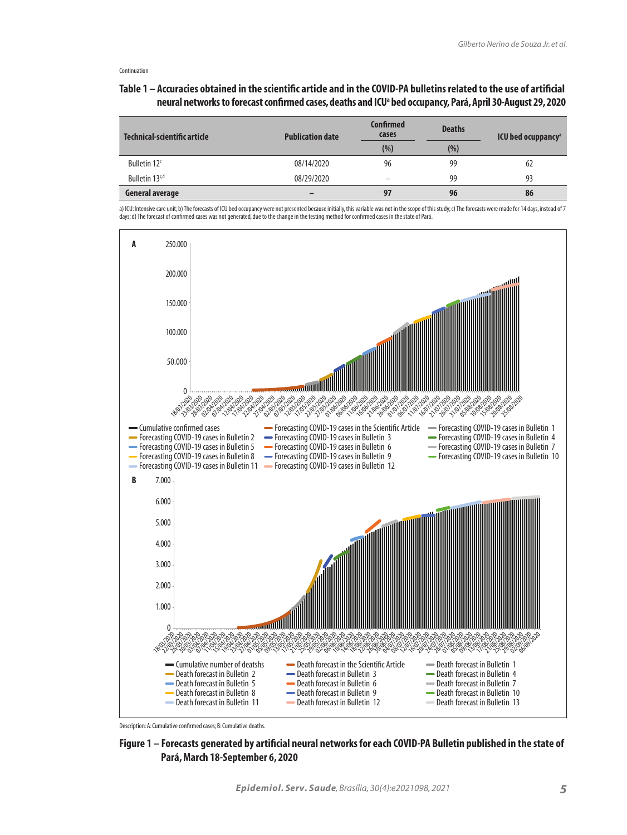# **Table 1 – Accuracies obtained in the scientific article and in the COVID-PA bulletins related to the use of artificial neural networks to forecast confirmed cases, deaths and ICUa bed occupancy, Pará, April 30-August 29, 2020**

| Technical-scientific article | <b>Publication date</b> | Confirmed<br>cases | <b>Deaths</b> | <b>ICU</b> bed ocuppancy <sup>a</sup> |
|------------------------------|-------------------------|--------------------|---------------|---------------------------------------|
|                              |                         | (% )               | (% )          |                                       |
| Bulletin 12 <sup>c</sup>     | 08/14/2020              | 96                 | 99            | 62                                    |
| Bulletin 13 <sup>c,d</sup>   | 08/29/2020              | -                  | 99            | 93                                    |
| General average              |                         | 97                 | 96            | 86                                    |

a) ICU: Intensive care unit; b) The forecasts of ICU bed occupancy were not presented because initially, this variable was not in the scope of this study; c) The forecasts were made for 14 days, instead of 7 days; d) The forecast of confirmed cases was not generated, due to the change in the testing method for confirmed cases in the state of Pará.



Description: A: Cumulative confirmed cases; B: Cumulative deaths.

**Figure 1 – Forecasts generated by artificial neural networks for each COVID-PA Bulletin published in the state of Pará, March 18-September 6, 2020**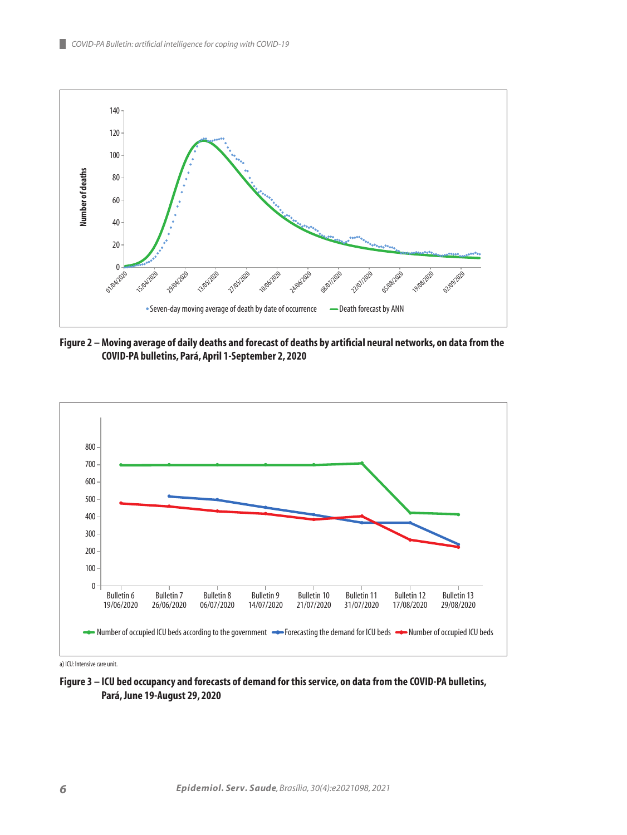

**Figure 2 – Moving average of daily deaths and forecast of deaths by artificial neural networks, on data from the COVID-PA bulletins, Pará, April 1-September 2, 2020**



a) ICU: Intensive care unit.

**Figure 3 – ICU bed occupancy and forecasts of demand for this service, on data from the COVID-PA bulletins, Pará, June 19-August 29, 2020**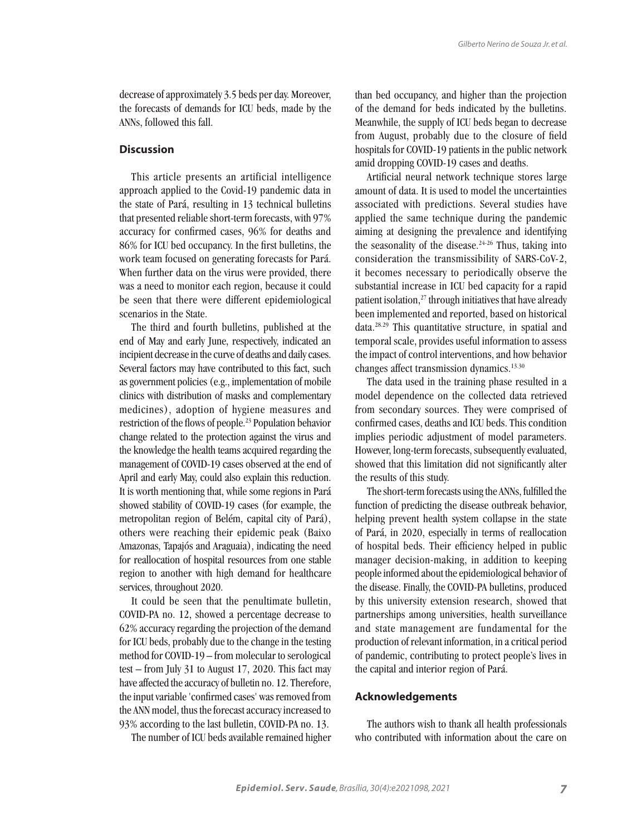decrease of approximately 3.5 beds per day. Moreover, the forecasts of demands for ICU beds, made by the ANNs, followed this fall.

# **Discussion**

This article presents an artificial intelligence approach applied to the Covid-19 pandemic data in the state of Pará, resulting in 13 technical bulletins that presented reliable short-term forecasts, with 97% accuracy for confirmed cases, 96% for deaths and 86% for ICU bed occupancy. In the first bulletins, the work team focused on generating forecasts for Pará. When further data on the virus were provided, there was a need to monitor each region, because it could be seen that there were different epidemiological scenarios in the State.

The third and fourth bulletins, published at the end of May and early June, respectively, indicated an incipient decrease in the curve of deaths and daily cases. Several factors may have contributed to this fact, such as government policies (e.g., implementation of mobile clinics with distribution of masks and complementary medicines), adoption of hygiene measures and restriction of the flows of people.23 Population behavior change related to the protection against the virus and the knowledge the health teams acquired regarding the management of COVID-19 cases observed at the end of April and early May, could also explain this reduction. It is worth mentioning that, while some regions in Pará showed stability of COVID-19 cases (for example, the metropolitan region of Belém, capital city of Pará), others were reaching their epidemic peak (Baixo Amazonas, Tapajós and Araguaia), indicating the need for reallocation of hospital resources from one stable region to another with high demand for healthcare services, throughout 2020.

It could be seen that the penultimate bulletin, COVID-PA no. 12, showed a percentage decrease to 62% accuracy regarding the projection of the demand for ICU beds, probably due to the change in the testing method for COVID-19 – from molecular to serological test – from July 31 to August 17, 2020. This fact may have affected the accuracy of bulletin no. 12. Therefore, the input variable 'confirmed cases' was removed from the ANN model, thus the forecast accuracy increased to 93% according to the last bulletin, COVID-PA no. 13.

The number of ICU beds available remained higher

than bed occupancy, and higher than the projection of the demand for beds indicated by the bulletins. Meanwhile, the supply of ICU beds began to decrease from August, probably due to the closure of field hospitals for COVID-19 patients in the public network amid dropping COVID-19 cases and deaths.

Artificial neural network technique stores large amount of data. It is used to model the uncertainties associated with predictions. Several studies have applied the same technique during the pandemic aiming at designing the prevalence and identifying the seasonality of the disease.<sup>24-26</sup> Thus, taking into consideration the transmissibility of SARS-CoV-2, it becomes necessary to periodically observe the substantial increase in ICU bed capacity for a rapid patient isolation,<sup>27</sup> through initiatives that have already been implemented and reported, based on historical data.28.29 This quantitative structure, in spatial and temporal scale, provides useful information to assess the impact of control interventions, and how behavior changes affect transmission dynamics.13.30

The data used in the training phase resulted in a model dependence on the collected data retrieved from secondary sources. They were comprised of confirmed cases, deaths and ICU beds. This condition implies periodic adjustment of model parameters. However, long-term forecasts, subsequently evaluated, showed that this limitation did not significantly alter the results of this study.

The short-term forecasts using the ANNs, fulfilled the function of predicting the disease outbreak behavior, helping prevent health system collapse in the state of Pará, in 2020, especially in terms of reallocation of hospital beds. Their efficiency helped in public manager decision-making, in addition to keeping people informed about the epidemiological behavior of the disease. Finally, the COVID-PA bulletins, produced by this university extension research, showed that partnerships among universities, health surveillance and state management are fundamental for the production of relevant information, in a critical period of pandemic, contributing to protect people's lives in the capital and interior region of Pará.

#### **Acknowledgements**

The authors wish to thank all health professionals who contributed with information about the care on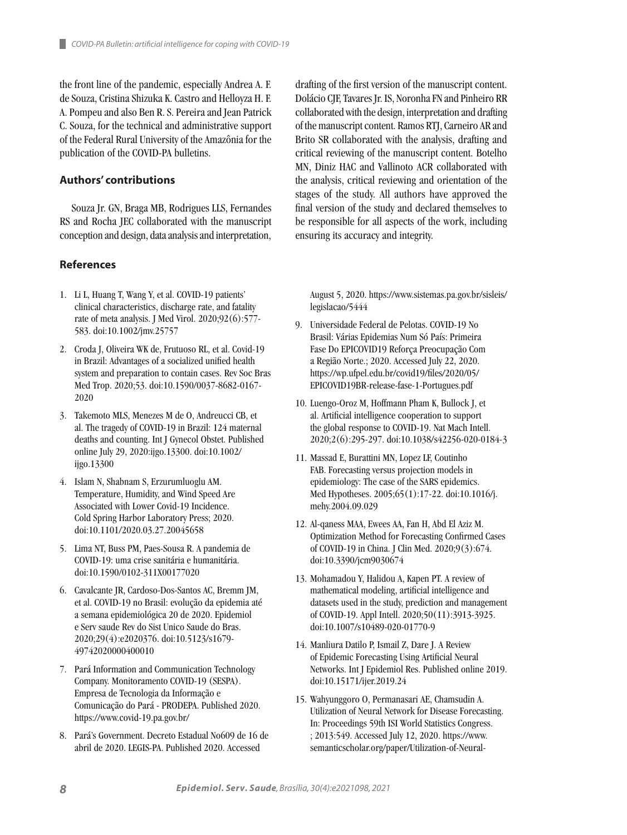the front line of the pandemic, especially Andrea A. F. de Souza, Cristina Shizuka K. Castro and Helloyza H. F. A. Pompeu and also Ben R. S. Pereira and Jean Patrick C. Souza, for the technical and administrative support of the Federal Rural University of the Amazônia for the publication of the COVID-PA bulletins.

### **Authors' contributions**

Souza Jr. GN, Braga MB, Rodrigues LLS, Fernandes RS and Rocha JEC collaborated with the manuscript conception and design, data analysis and interpretation,

# **References**

- 1. Li L, Huang T, Wang Y, et al. COVID-19 patients' clinical characteristics, discharge rate, and fatality rate of meta analysis. J Med Virol. 2020;92(6):577-583. doi:10.1002/jmv.25757
- 2. Croda J, Oliveira WK de, Frutuoso RL, et al. Covid-19 in Brazil: Advantages of a socialized unified health system and preparation to contain cases. Rev Soc Bras Med Trop. 2020;53. doi:10.1590/0037-8682-0167- 2020
- 3. Takemoto MLS, Menezes M de O, Andreucci CB, et al. The tragedy of COVID-19 in Brazil: 124 maternal deaths and counting. Int J Gynecol Obstet. Published online July 29, 2020:ijgo.13300. doi:10.1002/ ijgo.13300
- 4. Islam N, Shabnam S, Erzurumluoglu AM. Temperature, Humidity, and Wind Speed Are Associated with Lower Covid-19 Incidence. Cold Spring Harbor Laboratory Press; 2020. doi:10.1101/2020.03.27.20045658
- 5. Lima NT, Buss PM, Paes-Sousa R. A pandemia de COVID-19: uma crise sanitária e humanitária. doi:10.1590/0102-311X00177020
- 6. Cavalcante JR, Cardoso-Dos-Santos AC, Bremm JM, et al. COVID-19 no Brasil: evolução da epidemia até a semana epidemiológica 20 de 2020. Epidemiol e Serv saude Rev do Sist Unico Saude do Bras. 2020;29(4):e2020376. doi:10.5123/s1679- 49742020000400010
- 7. Pará Information and Communication Technology Company. Monitoramento COVID-19 (SESPA). Empresa de Tecnologia da Informação e Comunicação do Pará - PRODEPA. Published 2020. https://www.covid-19.pa.gov.br/
- 8. Pará's Government. Decreto Estadual No609 de 16 de abril de 2020. LEGIS-PA. Published 2020. Accessed

drafting of the first version of the manuscript content. Dolácio CJF, Tavares Jr. IS, Noronha FN and Pinheiro RR collaborated with the design, interpretation and drafting of the manuscript content. Ramos RTJ, Carneiro AR and Brito SR collaborated with the analysis, drafting and critical reviewing of the manuscript content. Botelho MN, Diniz HAC and Vallinoto ACR collaborated with the analysis, critical reviewing and orientation of the stages of the study. All authors have approved the final version of the study and declared themselves to be responsible for all aspects of the work, including ensuring its accuracy and integrity.

August 5, 2020. https://www.sistemas.pa.gov.br/sisleis/ legislacao/5444

- 9. Universidade Federal de Pelotas. COVID-19 No Brasil: Várias Epidemias Num Só País: Primeira Fase Do EPICOVID19 Reforça Preocupação Com a Região Norte.; 2020. Accessed July 22, 2020. https://wp.ufpel.edu.br/covid19/files/2020/05/ EPICOVID19BR-release-fase-1-Portugues.pdf
- 10. Luengo-Oroz M, Hoffmann Pham K, Bullock J, et al. Artificial intelligence cooperation to support the global response to COVID-19. Nat Mach Intell. 2020;2(6):295-297. doi:10.1038/s42256-020-0184-3
- 11. Massad E, Burattini MN, Lopez LF, Coutinho FAB. Forecasting versus projection models in epidemiology: The case of the SARS epidemics. Med Hypotheses. 2005;65(1):17-22. doi:10.1016/j. mehy.2004.09.029
- 12. Al-qaness MAA, Ewees AA, Fan H, Abd El Aziz M. Optimization Method for Forecasting Confirmed Cases of COVID-19 in China. J Clin Med. 2020;9(3):674. doi:10.3390/jcm9030674
- 13. Mohamadou Y, Halidou A, Kapen PT. A review of mathematical modeling, artificial intelligence and datasets used in the study, prediction and management of COVID-19. Appl Intell. 2020;50(11):3913-3925. doi:10.1007/s10489-020-01770-9
- 14. Manliura Datilo P, Ismail Z, Dare J. A Review of Epidemic Forecasting Using Artificial Neural Networks. Int J Epidemiol Res. Published online 2019. doi:10.15171/ijer.2019.24
- 15. Wahyunggoro O, Permanasari AE, Chamsudin A. Utilization of Neural Network for Disease Forecasting. In: Proceedings 59th ISI World Statistics Congress. ; 2013:549. Accessed July 12, 2020. https://www. semanticscholar.org/paper/Utilization-of-Neural-